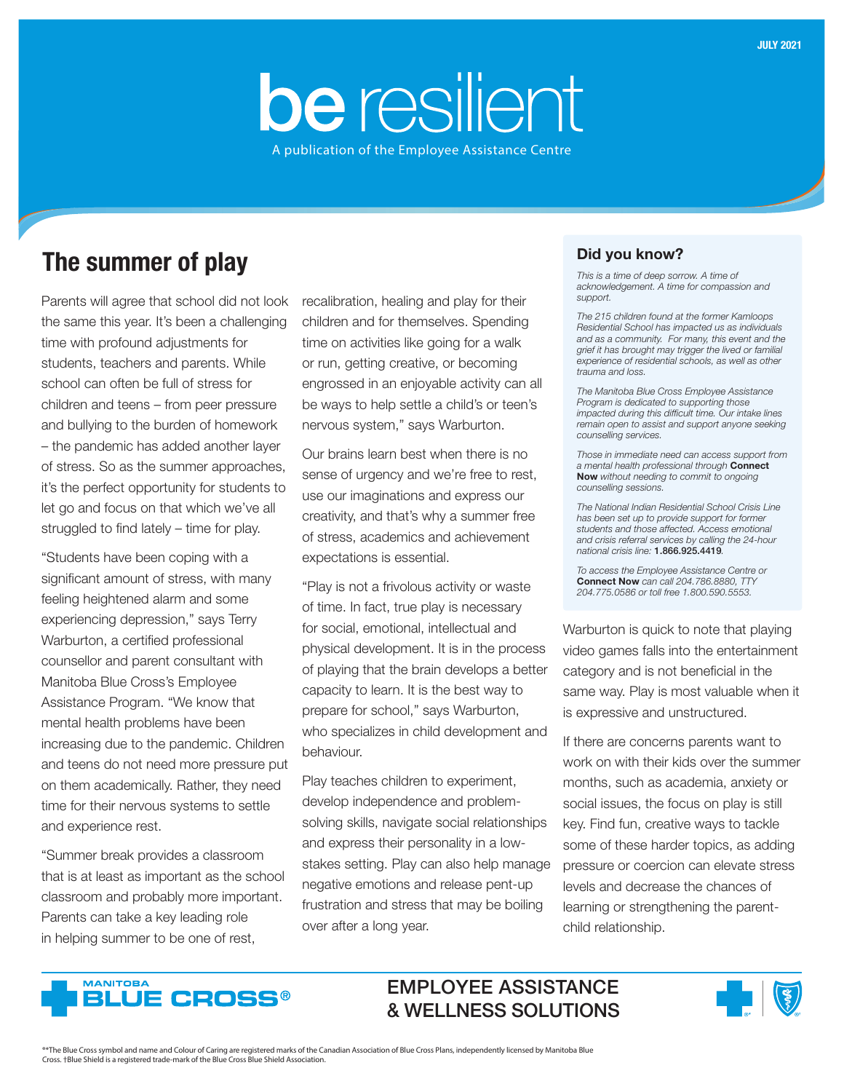# be resilient A publication of the Employee Assistance Centre

## The summer of play

Parents will agree that school did not look the same this year. It's been a challenging time with profound adjustments for students, teachers and parents. While school can often be full of stress for children and teens – from peer pressure and bullying to the burden of homework – the pandemic has added another layer of stress. So as the summer approaches, it's the perfect opportunity for students to let go and focus on that which we've all struggled to find lately – time for play.

"Students have been coping with a significant amount of stress, with many feeling heightened alarm and some experiencing depression," says Terry Warburton, a certified professional counsellor and parent consultant with Manitoba Blue Cross's Employee Assistance Program. "We know that mental health problems have been increasing due to the pandemic. Children and teens do not need more pressure put on them academically. Rather, they need time for their nervous systems to settle and experience rest.

"Summer break provides a classroom that is at least as important as the school classroom and probably more important. Parents can take a key leading role in helping summer to be one of rest,

recalibration, healing and play for their children and for themselves. Spending time on activities like going for a walk or run, getting creative, or becoming engrossed in an enjoyable activity can all be ways to help settle a child's or teen's nervous system," says Warburton.

Our brains learn best when there is no sense of urgency and we're free to rest, use our imaginations and express our creativity, and that's why a summer free of stress, academics and achievement expectations is essential.

"Play is not a frivolous activity or waste of time. In fact, true play is necessary for social, emotional, intellectual and physical development. It is in the process of playing that the brain develops a better capacity to learn. It is the best way to prepare for school," says Warburton, who specializes in child development and behaviour.

Play teaches children to experiment, develop independence and problemsolving skills, navigate social relationships and express their personality in a lowstakes setting. Play can also help manage negative emotions and release pent-up frustration and stress that may be boiling over after a long year.

### Did you know?

*This is a time of deep sorrow. A time of acknowledgement. A time for compassion and support.* 

*The 215 children found at the former Kamloops Residential School has impacted us as individuals and as a community. For many, this event and the grief it has brought may trigger the lived or familial experience of residential schools, as well as other trauma and loss.*

*The Manitoba Blue Cross Employee Assistance Program is dedicated to supporting those impacted during this difficult time. Our intake lines remain open to assist and support anyone seeking counselling services.* 

*Those in immediate need can access support from a mental health professional through* Connect Now *without needing to commit to ongoing counselling sessions.*

*The National Indian Residential School Crisis Line has been set up to provide support for former students and those affected. Access emotional and crisis referral services by calling the 24-hour national crisis line:* 1.866.925.4419*.*

*To access the Employee Assistance Centre or*  Connect Now *can call 204.786.8880, TTY 204.775.0586 or toll free 1.800.590.5553.*

Warburton is quick to note that playing video games falls into the entertainment category and is not beneficial in the same way. Play is most valuable when it is expressive and unstructured.

If there are concerns parents want to work on with their kids over the summer months, such as academia, anxiety or social issues, the focus on play is still key. Find fun, creative ways to tackle some of these harder topics, as adding pressure or coercion can elevate stress levels and decrease the chances of learning or strengthening the parentchild relationship.



### EMPLOYEE ASSISTANCE & WELLNESS SOLUTIONS



®\*The Blue Cross symbol and name and Colour of Caring are registered marks of the Canadian Association of Blue Cross Plans, independently licensed by Manitoba Blue Cross. †Blue Shield is a registered trade-mark of the Blue Cross Blue Shield Association.